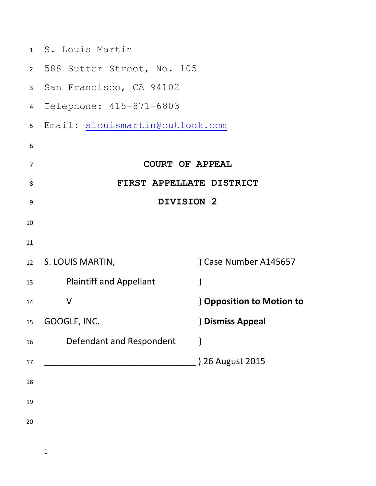|                | 1 S. Louis Martin               |                                |
|----------------|---------------------------------|--------------------------------|
|                | 2 588 Sutter Street, No. 105    |                                |
| 3              | San Francisco, CA 94102         |                                |
| 4              | Telephone: 415-871-6803         |                                |
| 5              | Email: slouismartin@outlook.com |                                |
| 6              |                                 |                                |
| $\overline{7}$ |                                 | <b>COURT OF APPEAL</b>         |
| 8              |                                 | FIRST APPELLATE DISTRICT       |
| 9              |                                 | DIVISION 2                     |
| 10             |                                 |                                |
| 11             |                                 |                                |
|                | 12 S. LOUIS MARTIN,             | Case Number A145657            |
| 13             | <b>Plaintiff and Appellant</b>  | $\mathcal{E}$                  |
| 14             | V                               | <b>Opposition to Motion to</b> |
| 15             | GOOGLE, INC.                    | ) Dismiss Appeal               |
| 16             | Defendant and Respondent        |                                |
| 17             |                                 | 26 August 2015                 |
| 18             |                                 |                                |
| 19             |                                 |                                |
| 20             |                                 |                                |
|                |                                 |                                |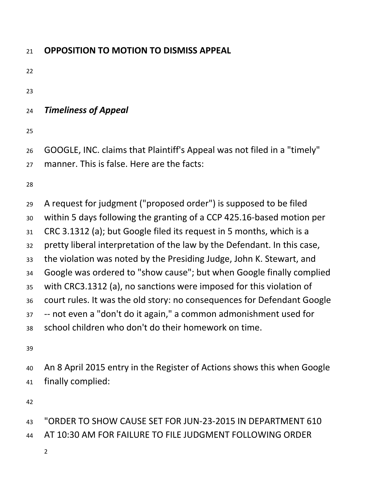| 21                                                       | <b>OPPOSITION TO MOTION TO DISMISS APPEAL</b>                                                                                                                                                                                                                                                                                                                                                                                                                                                                                                                                                                                                                                                                                 |
|----------------------------------------------------------|-------------------------------------------------------------------------------------------------------------------------------------------------------------------------------------------------------------------------------------------------------------------------------------------------------------------------------------------------------------------------------------------------------------------------------------------------------------------------------------------------------------------------------------------------------------------------------------------------------------------------------------------------------------------------------------------------------------------------------|
| 22                                                       |                                                                                                                                                                                                                                                                                                                                                                                                                                                                                                                                                                                                                                                                                                                               |
| 23                                                       |                                                                                                                                                                                                                                                                                                                                                                                                                                                                                                                                                                                                                                                                                                                               |
| 24                                                       | <b>Timeliness of Appeal</b>                                                                                                                                                                                                                                                                                                                                                                                                                                                                                                                                                                                                                                                                                                   |
| 25                                                       |                                                                                                                                                                                                                                                                                                                                                                                                                                                                                                                                                                                                                                                                                                                               |
| 26<br>27                                                 | GOOGLE, INC. claims that Plaintiff's Appeal was not filed in a "timely"<br>manner. This is false. Here are the facts:                                                                                                                                                                                                                                                                                                                                                                                                                                                                                                                                                                                                         |
| 28                                                       |                                                                                                                                                                                                                                                                                                                                                                                                                                                                                                                                                                                                                                                                                                                               |
| 29<br>30<br>31<br>32<br>33<br>34<br>35<br>36<br>37<br>38 | A request for judgment ("proposed order") is supposed to be filed<br>within 5 days following the granting of a CCP 425.16-based motion per<br>CRC 3.1312 (a); but Google filed its request in 5 months, which is a<br>pretty liberal interpretation of the law by the Defendant. In this case,<br>the violation was noted by the Presiding Judge, John K. Stewart, and<br>Google was ordered to "show cause"; but when Google finally complied<br>with CRC3.1312 (a), no sanctions were imposed for this violation of<br>court rules. It was the old story: no consequences for Defendant Google<br>-- not even a "don't do it again," a common admonishment used for<br>school children who don't do their homework on time. |
| 39<br>40<br>41<br>42                                     | An 8 April 2015 entry in the Register of Actions shows this when Google<br>finally complied:                                                                                                                                                                                                                                                                                                                                                                                                                                                                                                                                                                                                                                  |
| 43                                                       | "ORDER TO SHOW CAUSE SET FOR JUN-23-2015 IN DEPARTMENT 610                                                                                                                                                                                                                                                                                                                                                                                                                                                                                                                                                                                                                                                                    |

- AT 10:30 AM FOR FAILURE TO FILE JUDGMENT FOLLOWING ORDER
	-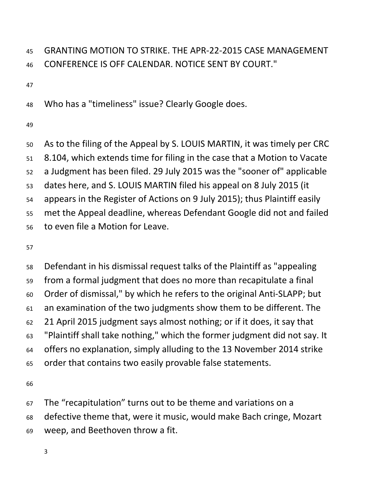# GRANTING MOTION TO STRIKE. THE APR-22-2015 CASE MANAGEMENT CONFERENCE IS OFF CALENDAR. NOTICE SENT BY COURT."

Who has a "timeliness" issue? Clearly Google does.

 As to the filing of the Appeal by S. LOUIS MARTIN, it was timely per CRC 8.104, which extends time for filing in the case that a Motion to Vacate a Judgment has been filed. 29 July 2015 was the "sooner of" applicable dates here, and S. LOUIS MARTIN filed his appeal on 8 July 2015 (it appears in the Register of Actions on 9 July 2015); thus Plaintiff easily met the Appeal deadline, whereas Defendant Google did not and failed to even file a Motion for Leave.

 Defendant in his dismissal request talks of the Plaintiff as "appealing from a formal judgment that does no more than recapitulate a final Order of dismissal," by which he refers to the original Anti-SLAPP; but an examination of the two judgments show them to be different. The 21 April 2015 judgment says almost nothing; or if it does, it say that "Plaintiff shall take nothing," which the former judgment did not say. It offers no explanation, simply alluding to the 13 November 2014 strike order that contains two easily provable false statements.

The "recapitulation" turns out to be theme and variations on a

 defective theme that, were it music, would make Bach cringe, Mozart weep, and Beethoven throw a fit.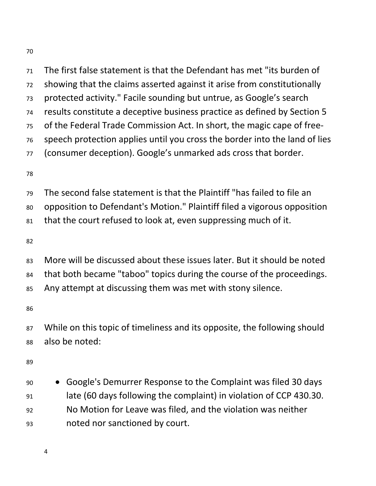The first false statement is that the Defendant has met "its burden of showing that the claims asserted against it arise from constitutionally protected activity." Facile sounding but untrue, as Google's search results constitute a deceptive business practice as defined by Section 5 of the Federal Trade Commission Act. In short, the magic cape of free- speech protection applies until you cross the border into the land of lies (consumer deception). Google's unmarked ads cross that border.

 The second false statement is that the Plaintiff "has failed to file an opposition to Defendant's Motion." Plaintiff filed a vigorous opposition that the court refused to look at, even suppressing much of it.

 More will be discussed about these issues later. But it should be noted that both became "taboo" topics during the course of the proceedings. Any attempt at discussing them was met with stony silence.

 While on this topic of timeliness and its opposite, the following should also be noted:

 Google's Demurrer Response to the Complaint was filed 30 days late (60 days following the complaint) in violation of CCP 430.30. No Motion for Leave was filed, and the violation was neither noted nor sanctioned by court.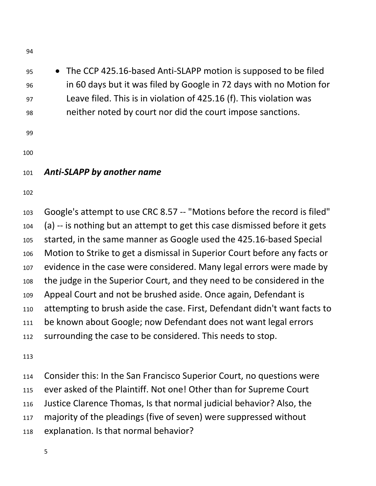- The CCP 425.16-based Anti-SLAPP motion is supposed to be filed in 60 days but it was filed by Google in 72 days with no Motion for Leave filed. This is in violation of 425.16 (f). This violation was neither noted by court nor did the court impose sanctions.
- 
- 

### *Anti-SLAPP by another name*

 Google's attempt to use CRC 8.57 -- "Motions before the record is filed" (a) -- is nothing but an attempt to get this case dismissed before it gets started, in the same manner as Google used the 425.16-based Special Motion to Strike to get a dismissal in Superior Court before any facts or evidence in the case were considered. Many legal errors were made by the judge in the Superior Court, and they need to be considered in the Appeal Court and not be brushed aside. Once again, Defendant is attempting to brush aside the case. First, Defendant didn't want facts to be known about Google; now Defendant does not want legal errors 112 surrounding the case to be considered. This needs to stop.

 Consider this: In the San Francisco Superior Court, no questions were ever asked of the Plaintiff. Not one! Other than for Supreme Court Justice Clarence Thomas, Is that normal judicial behavior? Also, the majority of the pleadings (five of seven) were suppressed without explanation. Is that normal behavior?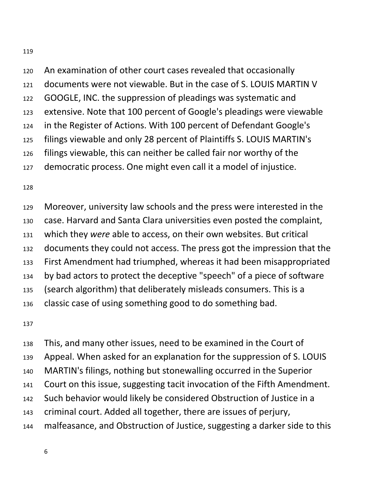An examination of other court cases revealed that occasionally documents were not viewable. But in the case of S. LOUIS MARTIN V GOOGLE, INC. the suppression of pleadings was systematic and extensive. Note that 100 percent of Google's pleadings were viewable in the Register of Actions. With 100 percent of Defendant Google's filings viewable and only 28 percent of Plaintiffs S. LOUIS MARTIN's filings viewable, this can neither be called fair nor worthy of the democratic process. One might even call it a model of injustice.

 Moreover, university law schools and the press were interested in the case. Harvard and Santa Clara universities even posted the complaint, which they *were* able to access, on their own websites. But critical documents they could not access. The press got the impression that the First Amendment had triumphed, whereas it had been misappropriated by bad actors to protect the deceptive "speech" of a piece of software (search algorithm) that deliberately misleads consumers. This is a classic case of using something good to do something bad.

 This, and many other issues, need to be examined in the Court of Appeal. When asked for an explanation for the suppression of S. LOUIS MARTIN's filings, nothing but stonewalling occurred in the Superior Court on this issue, suggesting tacit invocation of the Fifth Amendment. Such behavior would likely be considered Obstruction of Justice in a criminal court. Added all together, there are issues of perjury, malfeasance, and Obstruction of Justice, suggesting a darker side to this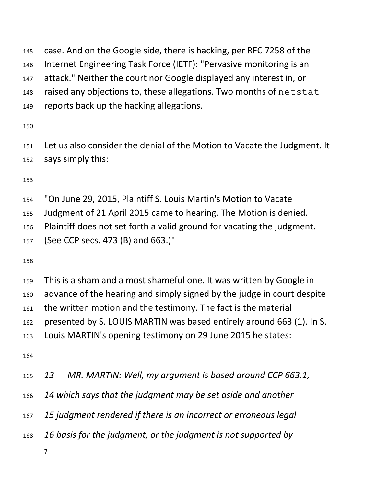case. And on the Google side, there is hacking, per RFC 7258 of the Internet Engineering Task Force (IETF): "Pervasive monitoring is an attack." Neither the court nor Google displayed any interest in, or raised any objections to, these allegations. Two months of netstat reports back up the hacking allegations.

 Let us also consider the denial of the Motion to Vacate the Judgment. It says simply this:

"On June 29, 2015, Plaintiff S. Louis Martin's Motion to Vacate

Judgment of 21 April 2015 came to hearing. The Motion is denied.

Plaintiff does not set forth a valid ground for vacating the judgment.

(See CCP secs. 473 (B) and 663.)"

 This is a sham and a most shameful one. It was written by Google in advance of the hearing and simply signed by the judge in court despite the written motion and the testimony. The fact is the material presented by S. LOUIS MARTIN was based entirely around 663 (1). In S. Louis MARTIN's opening testimony on 29 June 2015 he states:

*13 MR. MARTIN: Well, my argument is based around CCP 663.1,*

*14 which says that the judgment may be set aside and another*

*15 judgment rendered if there is an incorrect or erroneous legal*

*16 basis for the judgment, or the judgment is not supported by*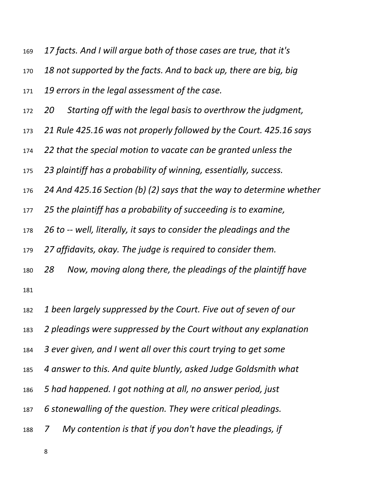*17 facts. And I will argue both of those cases are true, that it's*

*18 not supported by the facts. And to back up, there are big, big*

*19 errors in the legal assessment of the case.*

- *20 Starting off with the legal basis to overthrow the judgment,*
- *21 Rule 425.16 was not properly followed by the Court. 425.16 says*
- *22 that the special motion to vacate can be granted unless the*

*23 plaintiff has a probability of winning, essentially, success.*

*24 And 425.16 Section (b) (2) says that the way to determine whether*

*25 the plaintiff has a probability of succeeding is to examine,*

*26 to -- well, literally, it says to consider the pleadings and the*

*27 affidavits, okay. The judge is required to consider them.*

- *28 Now, moving along there, the pleadings of the plaintiff have*
- 

*1 been largely suppressed by the Court. Five out of seven of our*

*2 pleadings were suppressed by the Court without any explanation*

- *3 ever given, and I went all over this court trying to get some*
- *4 answer to this. And quite bluntly, asked Judge Goldsmith what*
- *5 had happened. I got nothing at all, no answer period, just*
- *6 stonewalling of the question. They were critical pleadings.*

*7 My contention is that if you don't have the pleadings, if*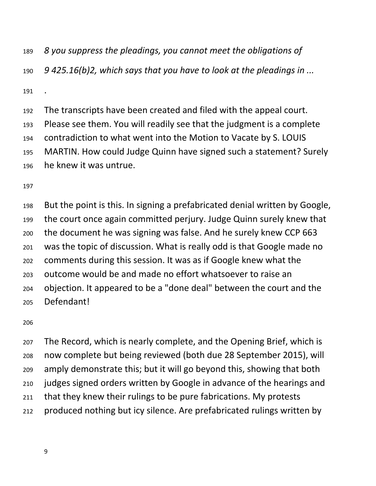*8 you suppress the pleadings, you cannot meet the obligations of*

*9 425.16(b)2, which says that you have to look at the pleadings in ...*

 The transcripts have been created and filed with the appeal court. Please see them. You will readily see that the judgment is a complete contradiction to what went into the Motion to Vacate by S. LOUIS MARTIN. How could Judge Quinn have signed such a statement? Surely he knew it was untrue.

 But the point is this. In signing a prefabricated denial written by Google, the court once again committed perjury. Judge Quinn surely knew that the document he was signing was false. And he surely knew CCP 663 was the topic of discussion. What is really odd is that Google made no comments during this session. It was as if Google knew what the outcome would be and made no effort whatsoever to raise an objection. It appeared to be a "done deal" between the court and the Defendant!

 The Record, which is nearly complete, and the Opening Brief, which is now complete but being reviewed (both due 28 September 2015), will amply demonstrate this; but it will go beyond this, showing that both judges signed orders written by Google in advance of the hearings and that they knew their rulings to be pure fabrications. My protests produced nothing but icy silence. Are prefabricated rulings written by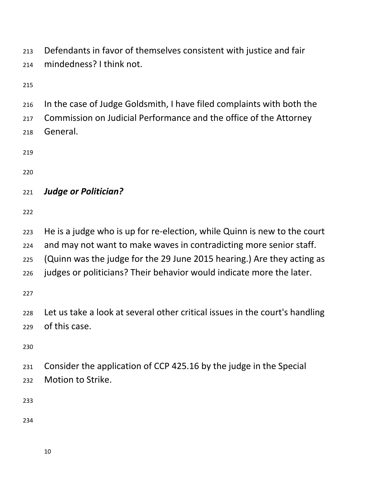Defendants in favor of themselves consistent with justice and fair mindedness? I think not.

 In the case of Judge Goldsmith, I have filed complaints with both the Commission on Judicial Performance and the office of the Attorney General.

#### *Judge or Politician?*

He is a judge who is up for re-election, while Quinn is new to the court

and may not want to make waves in contradicting more senior staff.

(Quinn was the judge for the 29 June 2015 hearing.) Are they acting as

judges or politicians? Their behavior would indicate more the later.

 Let us take a look at several other critical issues in the court's handling of this case.

 Consider the application of CCP 425.16 by the judge in the Special Motion to Strike.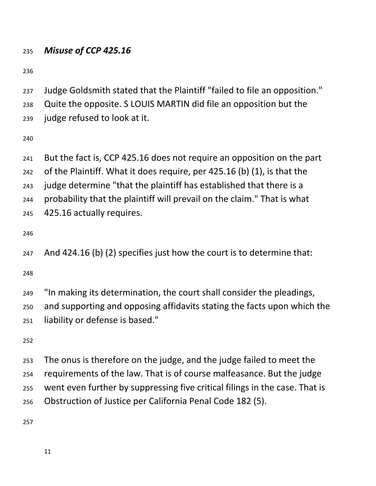#### *Misuse of CCP 425.16*

Judge Goldsmith stated that the Plaintiff "failed to file an opposition."

Quite the opposite. S LOUIS MARTIN did file an opposition but the

judge refused to look at it.

 But the fact is, CCP 425.16 does not require an opposition on the part of the Plaintiff. What it does require, per 425.16 (b) (1), is that the

judge determine "that the plaintiff has established that there is a

probability that the plaintiff will prevail on the claim." That is what

425.16 actually requires.

And 424.16 (b) (2) specifies just how the court is to determine that:

 "In making its determination, the court shall consider the pleadings, and supporting and opposing affidavits stating the facts upon which the liability or defense is based."

 The onus is therefore on the judge, and the judge failed to meet the requirements of the law. That is of course malfeasance. But the judge went even further by suppressing five critical filings in the case. That is Obstruction of Justice per California Penal Code 182 (5).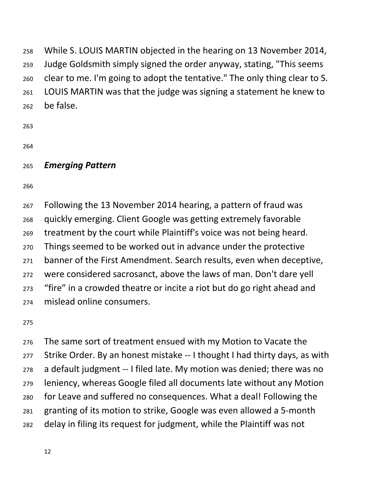While S. LOUIS MARTIN objected in the hearing on 13 November 2014, Judge Goldsmith simply signed the order anyway, stating, "This seems clear to me. I'm going to adopt the tentative." The only thing clear to S. LOUIS MARTIN was that the judge was signing a statement he knew to be false.

- 
- 

### *Emerging Pattern*

 Following the 13 November 2014 hearing, a pattern of fraud was quickly emerging. Client Google was getting extremely favorable treatment by the court while Plaintiff's voice was not being heard. Things seemed to be worked out in advance under the protective banner of the First Amendment. Search results, even when deceptive, were considered sacrosanct, above the laws of man. Don't dare yell "fire" in a crowded theatre or incite a riot but do go right ahead and mislead online consumers.

 The same sort of treatment ensued with my Motion to Vacate the Strike Order. By an honest mistake -- I thought I had thirty days, as with a default judgment -- I filed late. My motion was denied; there was no leniency, whereas Google filed all documents late without any Motion for Leave and suffered no consequences. What a deal! Following the granting of its motion to strike, Google was even allowed a 5-month delay in filing its request for judgment, while the Plaintiff was not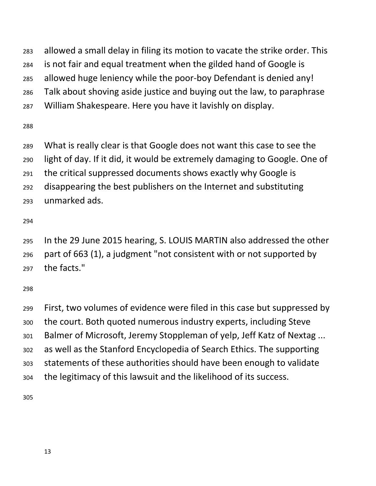allowed a small delay in filing its motion to vacate the strike order. This

- is not fair and equal treatment when the gilded hand of Google is
- allowed huge leniency while the poor-boy Defendant is denied any!
- Talk about shoving aside justice and buying out the law, to paraphrase
- William Shakespeare. Here you have it lavishly on display.

- What is really clear is that Google does not want this case to see the
- light of day. If it did, it would be extremely damaging to Google. One of
- the critical suppressed documents shows exactly why Google is
- disappearing the best publishers on the Internet and substituting
- unmarked ads.

 In the 29 June 2015 hearing, S. LOUIS MARTIN also addressed the other part of 663 (1), a judgment "not consistent with or not supported by the facts."

 First, two volumes of evidence were filed in this case but suppressed by the court. Both quoted numerous industry experts, including Steve Balmer of Microsoft, Jeremy Stoppleman of yelp, Jeff Katz of Nextag ... as well as the Stanford Encyclopedia of Search Ethics. The supporting statements of these authorities should have been enough to validate the legitimacy of this lawsuit and the likelihood of its success.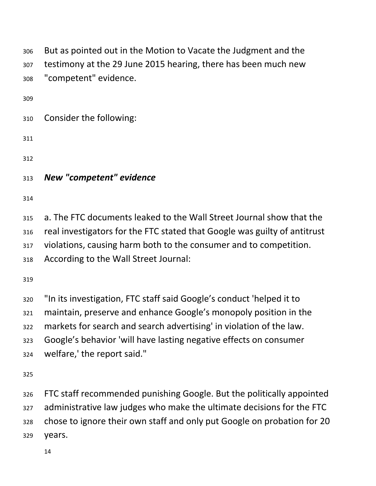| 306 | But as pointed out in the Motion to Vacate the Judgment and the           |
|-----|---------------------------------------------------------------------------|
| 307 | testimony at the 29 June 2015 hearing, there has been much new            |
| 308 | "competent" evidence.                                                     |
| 309 |                                                                           |
| 310 | Consider the following:                                                   |
| 311 |                                                                           |
| 312 |                                                                           |
| 313 | New "competent" evidence                                                  |
| 314 |                                                                           |
| 315 | a. The FTC documents leaked to the Wall Street Journal show that the      |
| 316 | real investigators for the FTC stated that Google was guilty of antitrust |
| 317 | violations, causing harm both to the consumer and to competition.         |
| 318 | According to the Wall Street Journal:                                     |
| 319 |                                                                           |
| 320 | "In its investigation, FTC staff said Google's conduct 'helped it to      |
| 321 | maintain, preserve and enhance Google's monopoly position in the          |
| 322 | markets for search and search advertising' in violation of the law.       |
| 323 | Google's behavior 'will have lasting negative effects on consumer         |
| 324 | welfare,' the report said."                                               |
| 325 |                                                                           |
| 326 | FTC staff recommended punishing Google. But the politically appointed     |
| 327 | administrative law judges who make the ultimate decisions for the FTC     |
| 328 | chose to ignore their own staff and only put Google on probation for 20   |
| 329 | years.                                                                    |
|     | 14                                                                        |
|     |                                                                           |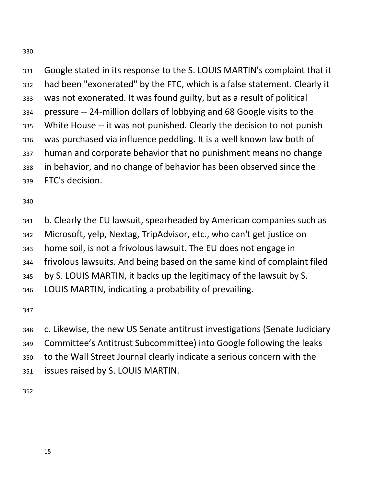Google stated in its response to the S. LOUIS MARTIN's complaint that it had been "exonerated" by the FTC, which is a false statement. Clearly it was not exonerated. It was found guilty, but as a result of political pressure -- 24-million dollars of lobbying and 68 Google visits to the White House -- it was not punished. Clearly the decision to not punish was purchased via influence peddling. It is a well known law both of human and corporate behavior that no punishment means no change in behavior, and no change of behavior has been observed since the FTC's decision.

 b. Clearly the EU lawsuit, spearheaded by American companies such as Microsoft, yelp, Nextag, TripAdvisor, etc., who can't get justice on home soil, is not a frivolous lawsuit. The EU does not engage in frivolous lawsuits. And being based on the same kind of complaint filed by S. LOUIS MARTIN, it backs up the legitimacy of the lawsuit by S. LOUIS MARTIN, indicating a probability of prevailing.

 c. Likewise, the new US Senate antitrust investigations (Senate Judiciary Committee's Antitrust Subcommittee) into Google following the leaks to the Wall Street Journal clearly indicate a serious concern with the issues raised by S. LOUIS MARTIN.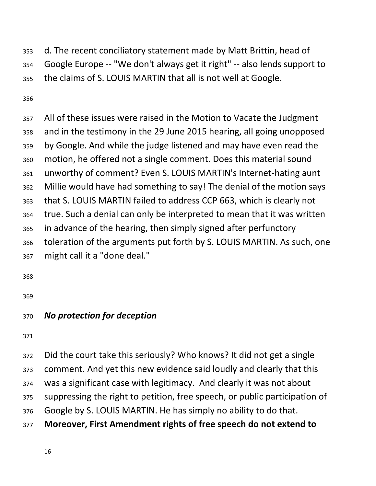d. The recent conciliatory statement made by Matt Brittin, head of Google Europe -- "We don't always get it right" -- also lends support to the claims of S. LOUIS MARTIN that all is not well at Google.

 All of these issues were raised in the Motion to Vacate the Judgment and in the testimony in the 29 June 2015 hearing, all going unopposed by Google. And while the judge listened and may have even read the motion, he offered not a single comment. Does this material sound unworthy of comment? Even S. LOUIS MARTIN's Internet-hating aunt Millie would have had something to say! The denial of the motion says that S. LOUIS MARTIN failed to address CCP 663, which is clearly not true. Such a denial can only be interpreted to mean that it was written in advance of the hearing, then simply signed after perfunctory toleration of the arguments put forth by S. LOUIS MARTIN. As such, one might call it a "done deal."

#### *No protection for deception*

 Did the court take this seriously? Who knows? It did not get a single comment. And yet this new evidence said loudly and clearly that this was a significant case with legitimacy. And clearly it was not about suppressing the right to petition, free speech, or public participation of Google by S. LOUIS MARTIN. He has simply no ability to do that. **Moreover, First Amendment rights of free speech do not extend to**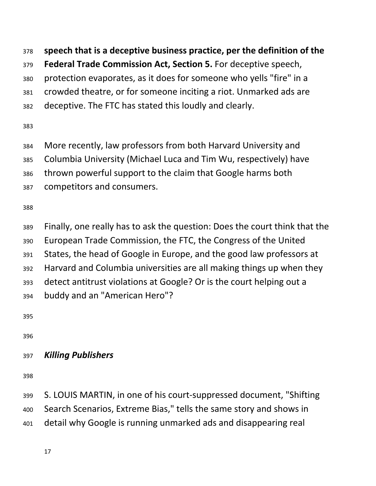**speech that is a deceptive business practice, per the definition of the** 

- **Federal Trade Commission Act, Section 5.** For deceptive speech,
- protection evaporates, as it does for someone who yells "fire" in a
- crowded theatre, or for someone inciting a riot. Unmarked ads are
- deceptive. The FTC has stated this loudly and clearly.

- More recently, law professors from both Harvard University and
- Columbia University (Michael Luca and Tim Wu, respectively) have
- thrown powerful support to the claim that Google harms both
- competitors and consumers.

- Finally, one really has to ask the question: Does the court think that the
- European Trade Commission, the FTC, the Congress of the United
- States, the head of Google in Europe, and the good law professors at
- Harvard and Columbia universities are all making things up when they
- detect antitrust violations at Google? Or is the court helping out a
- buddy and an "American Hero"?

## *Killing Publishers*

 S. LOUIS MARTIN, in one of his court-suppressed document, "Shifting Search Scenarios, Extreme Bias," tells the same story and shows in detail why Google is running unmarked ads and disappearing real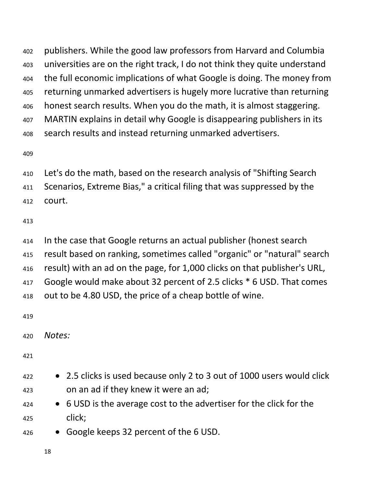publishers. While the good law professors from Harvard and Columbia universities are on the right track, I do not think they quite understand the full economic implications of what Google is doing. The money from returning unmarked advertisers is hugely more lucrative than returning honest search results. When you do the math, it is almost staggering. MARTIN explains in detail why Google is disappearing publishers in its search results and instead returning unmarked advertisers.

- Let's do the math, based on the research analysis of "Shifting Search
- Scenarios, Extreme Bias," a critical filing that was suppressed by the
- court.

 In the case that Google returns an actual publisher (honest search result based on ranking, sometimes called "organic" or "natural" search result) with an ad on the page, for 1,000 clicks on that publisher's URL, Google would make about 32 percent of 2.5 clicks \* 6 USD. That comes out to be 4.80 USD, the price of a cheap bottle of wine.

*Notes:*

- **•** 2.5 clicks is used because only 2 to 3 out of 1000 users would click on an ad if they knew it were an ad;
- 6 USD is the average cost to the advertiser for the click for the click;
- Google keeps 32 percent of the 6 USD.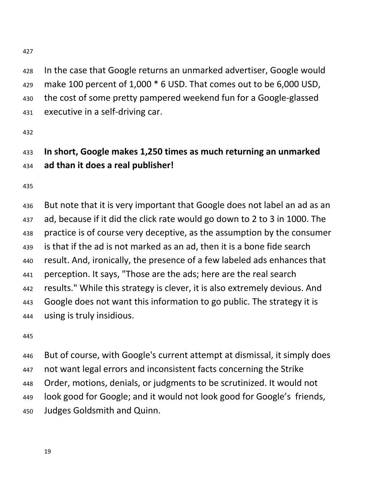In the case that Google returns an unmarked advertiser, Google would make 100 percent of 1,000 \* 6 USD. That comes out to be 6,000 USD, the cost of some pretty pampered weekend fun for a Google-glassed executive in a self-driving car.

# **In short, Google makes 1,250 times as much returning an unmarked ad than it does a real publisher!**

 But note that it is very important that Google does not label an ad as an ad, because if it did the click rate would go down to 2 to 3 in 1000. The practice is of course very deceptive, as the assumption by the consumer is that if the ad is not marked as an ad, then it is a bone fide search result. And, ironically, the presence of a few labeled ads enhances that perception. It says, "Those are the ads; here are the real search results." While this strategy is clever, it is also extremely devious. And Google does not want this information to go public. The strategy it is using is truly insidious.

 But of course, with Google's current attempt at dismissal, it simply does not want legal errors and inconsistent facts concerning the Strike Order, motions, denials, or judgments to be scrutinized. It would not look good for Google; and it would not look good for Google's friends, Judges Goldsmith and Quinn.